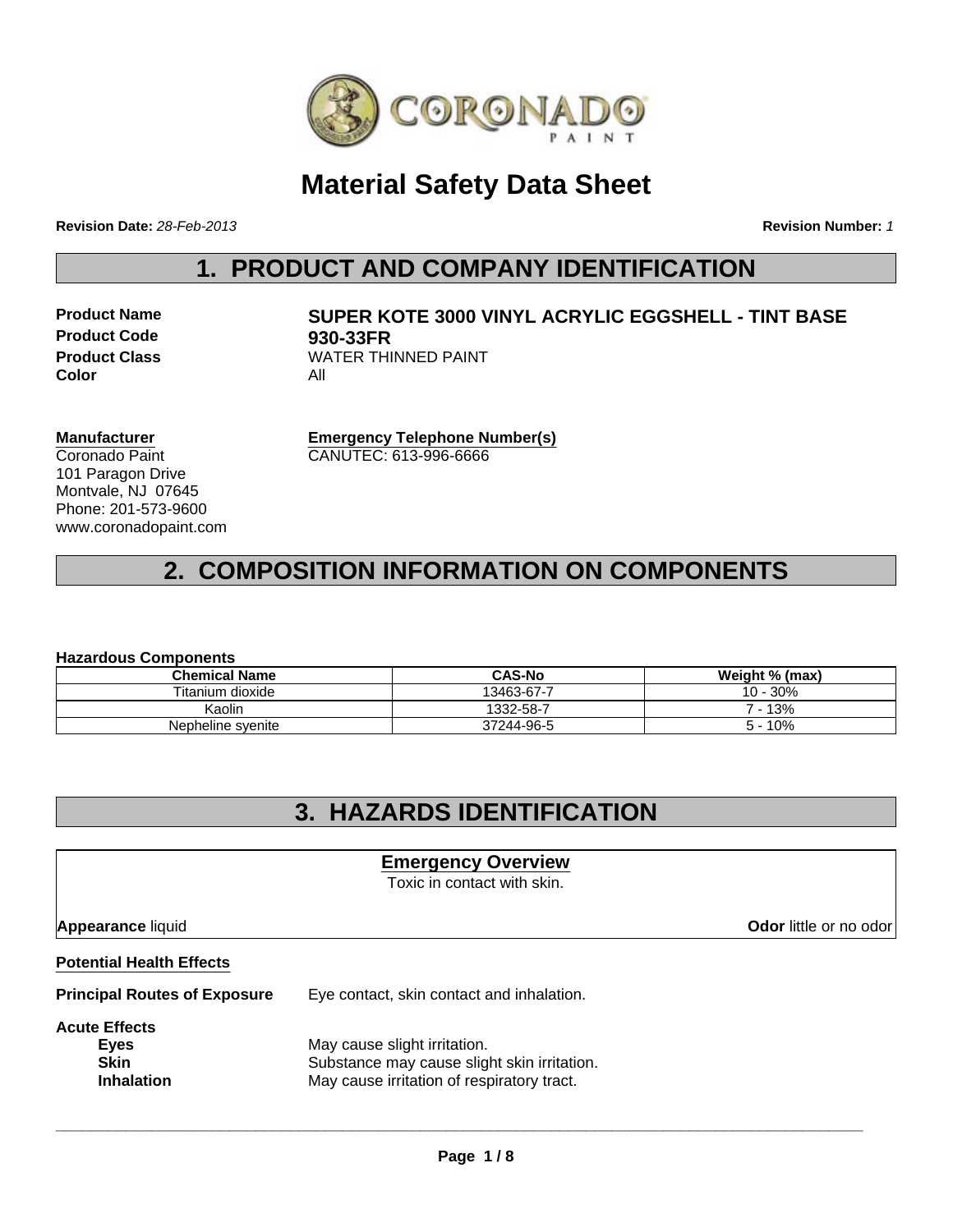

## **Material Safety Data Sheet**

**Revision Date:** *28-Feb-2013*

**Revision Number:** *1*

## **1. PRODUCT AND COMPANY IDENTIFICATION**

**Product Code 930-33FR Color** All

# **Product Name SUPER KOTE 3000 VINYL ACRYLIC EGGSHELL - TINT BASE Product Class** WATER THINNED PAINT

**Manufacturer** Coronado Paint 101 Paragon Drive Montvale, NJ 07645 Phone: 201-573-9600 www.coronadopaint.com

**Emergency Telephone Number(s)** CANUTEC: 613-996-6666

## **2. COMPOSITION INFORMATION ON COMPONENTS**

#### **Hazardous Components**

| <b>Chemical Name</b> | <b>CAS-No</b> | Weight % (max) |  |  |
|----------------------|---------------|----------------|--|--|
| Titanium dioxide     | 13463-67-7    | 10 - 30%       |  |  |
| Kaolin               | 1332-58-7     | 7 - 13%        |  |  |
| Nepheline syenite    | 37244-96-5    | 10%            |  |  |

### **3. HAZARDS IDENTIFICATION**

### **Emergency Overview**

Toxic in contact with skin.

**Appearance liquid Odor in the original of the contract of the contract of the contract of the contract of the contract of the contract of the contract of the contract of the contract of the contract of the contract of t** 

#### **Potential Health Effects**

**Principal Routes of Exposure** Eye contact, skin contact and inhalation.

**Acute Effects Eyes** May cause slight irritation. **Skin** Substance may cause slight skin irritation. **Inhalation** May cause irritation of respiratory tract.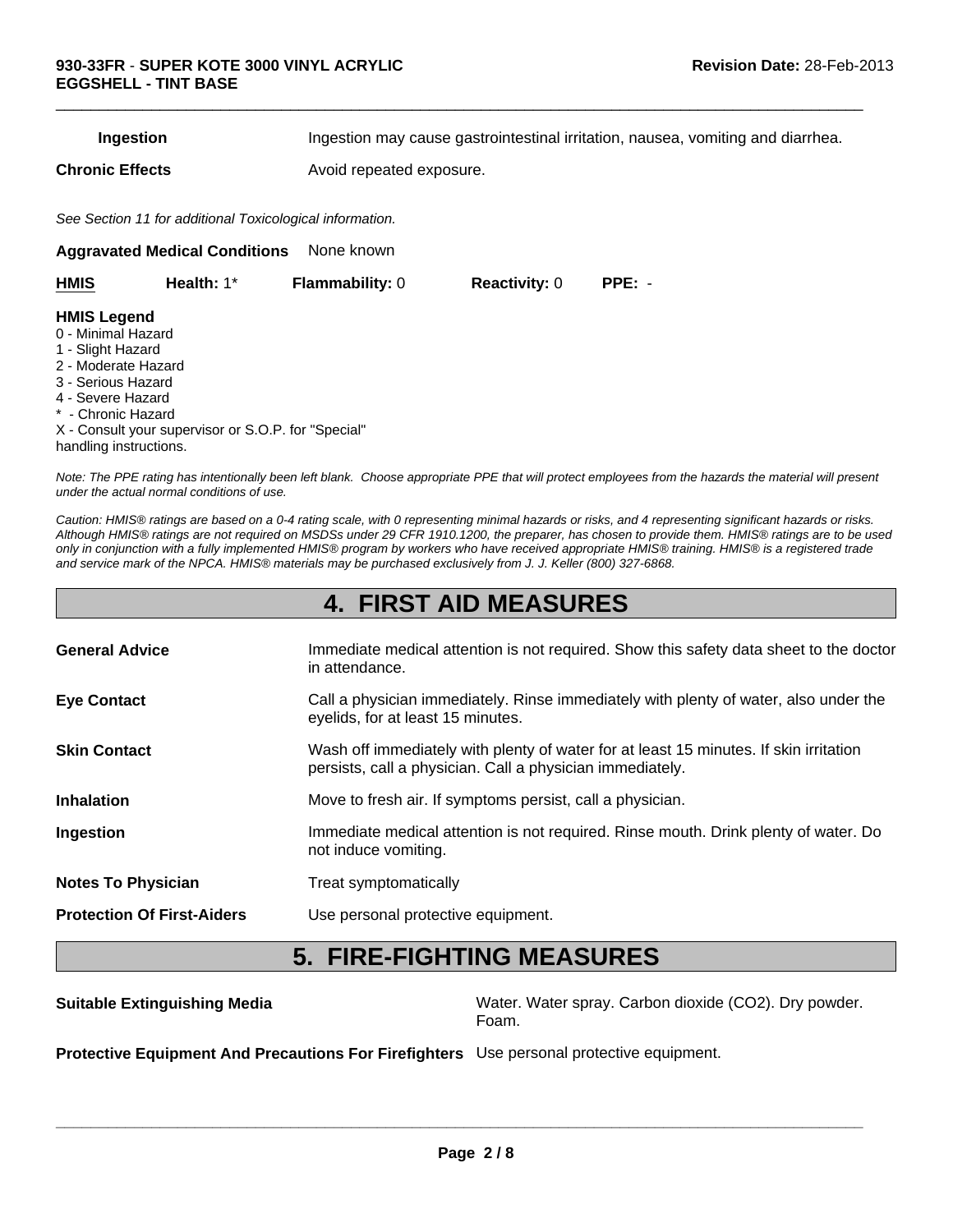**Ingestion Ingestion may cause gastrointestinal irritation, nausea, vomiting and diarrhea.** 

 $\Box$ 

**Chronic Effects Avoid repeated exposure.** 

*See Section 11 for additional Toxicological information.*

**Aggravated Medical Conditions** None known

| <b>HMIS</b>                                                                                                                                                                     | Health: $1^*$                                       | <b>Flammability: 0</b> | <b>Reactivity: 0</b> | $PPE: -$ |
|---------------------------------------------------------------------------------------------------------------------------------------------------------------------------------|-----------------------------------------------------|------------------------|----------------------|----------|
| <b>HMIS Legend</b><br>0 - Minimal Hazard<br>1 - Slight Hazard<br>2 - Moderate Hazard<br>3 - Serious Hazard<br>4 - Severe Hazard<br>* - Chronic Hazard<br>handling instructions. | X - Consult your supervisor or S.O.P. for "Special" |                        |                      |          |
|                                                                                                                                                                                 |                                                     |                        |                      |          |

*Note: The PPE rating has intentionally been left blank. Choose appropriate PPE that will protect employees from the hazards the material will present under the actual normal conditions of use.*

*Caution: HMIS® ratings are based on a 0-4 rating scale, with 0 representing minimal hazards or risks, and 4 representing significant hazards or risks. Although HMIS® ratings are not required on MSDSs under 29 CFR 1910.1200, the preparer, has chosen to provide them. HMIS® ratings are to be used only in conjunction with a fully implemented HMIS® program by workers who have received appropriate HMIS® training. HMIS® is a registered trade and service mark of the NPCA. HMIS® materials may be purchased exclusively from J. J. Keller (800) 327-6868.*

### **4. FIRST AID MEASURES**

| <b>General Advice</b>             | Immediate medical attention is not required. Show this safety data sheet to the doctor<br>in attendance.                                           |
|-----------------------------------|----------------------------------------------------------------------------------------------------------------------------------------------------|
| <b>Eye Contact</b>                | Call a physician immediately. Rinse immediately with plenty of water, also under the<br>eyelids, for at least 15 minutes.                          |
| <b>Skin Contact</b>               | Wash off immediately with plenty of water for at least 15 minutes. If skin irritation<br>persists, call a physician. Call a physician immediately. |
| <b>Inhalation</b>                 | Move to fresh air. If symptoms persist, call a physician.                                                                                          |
| Ingestion                         | Immediate medical attention is not required. Rinse mouth. Drink plenty of water. Do<br>not induce vomiting.                                        |
| <b>Notes To Physician</b>         | Treat symptomatically                                                                                                                              |
| <b>Protection Of First-Aiders</b> | Use personal protective equipment.                                                                                                                 |

### **5. FIRE-FIGHTING MEASURES**

**Suitable Extinguishing Media** Water. Water. Water spray. Carbon dioxide (CO2). Dry powder. Foam.

**Protective Equipment And Precautions For Firefighters** Use personal protective equipment.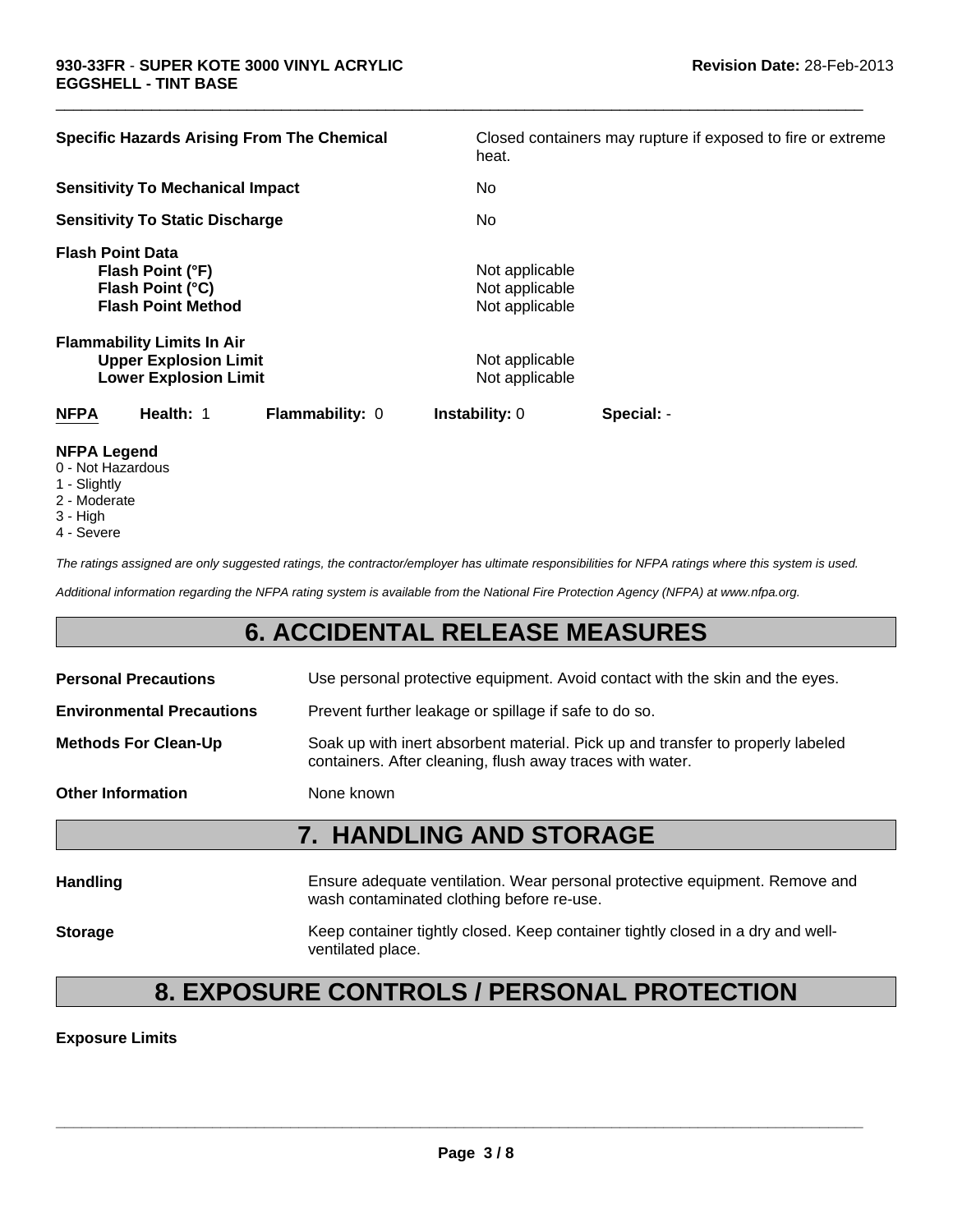| <b>Specific Hazards Arising From The Chemical</b>                                                 | Closed containers may rupture if exposed to fire or extreme<br>heat. |
|---------------------------------------------------------------------------------------------------|----------------------------------------------------------------------|
| <b>Sensitivity To Mechanical Impact</b>                                                           | No                                                                   |
| <b>Sensitivity To Static Discharge</b>                                                            | No                                                                   |
| <b>Flash Point Data</b><br>Flash Point (°F)<br>Flash Point (°C)<br><b>Flash Point Method</b>      | Not applicable<br>Not applicable<br>Not applicable                   |
| <b>Flammability Limits In Air</b><br><b>Upper Explosion Limit</b><br><b>Lower Explosion Limit</b> | Not applicable<br>Not applicable                                     |
| <b>NFPA</b><br>Health: 1<br><b>Flammability: 0</b>                                                | <b>Instability: 0</b><br>Special: -                                  |

 $\Box$ 

#### **NFPA Legend**

- 0 Not Hazardous
- 1 Slightly
- 2 Moderate
- 3 High
- 4 Severe

*The ratings assigned are only suggested ratings, the contractor/employer has ultimate responsibilities for NFPA ratings where this system is used.*

*Additional information regarding the NFPA rating system is available from the National Fire Protection Agency (NFPA) at www.nfpa.org.*

### **6. ACCIDENTAL RELEASE MEASURES**

| <b>7. HANDLING AND STORAGE</b>   |                                                                                                                                              |  |
|----------------------------------|----------------------------------------------------------------------------------------------------------------------------------------------|--|
| <b>Other Information</b>         | None known                                                                                                                                   |  |
| <b>Methods For Clean-Up</b>      | Soak up with inert absorbent material. Pick up and transfer to properly labeled<br>containers. After cleaning, flush away traces with water. |  |
| <b>Environmental Precautions</b> | Prevent further leakage or spillage if safe to do so.                                                                                        |  |
| <b>Personal Precautions</b>      | Use personal protective equipment. Avoid contact with the skin and the eyes.                                                                 |  |

| <b>Handling</b> | Ensure adequate ventilation. Wear personal protective equipment. Remove and<br>wash contaminated clothing before re-use. |
|-----------------|--------------------------------------------------------------------------------------------------------------------------|
| <b>Storage</b>  | Keep container tightly closed. Keep container tightly closed in a dry and well-<br>ventilated place.                     |

### **8. EXPOSURE CONTROLS / PERSONAL PROTECTION**

**Exposure Limits**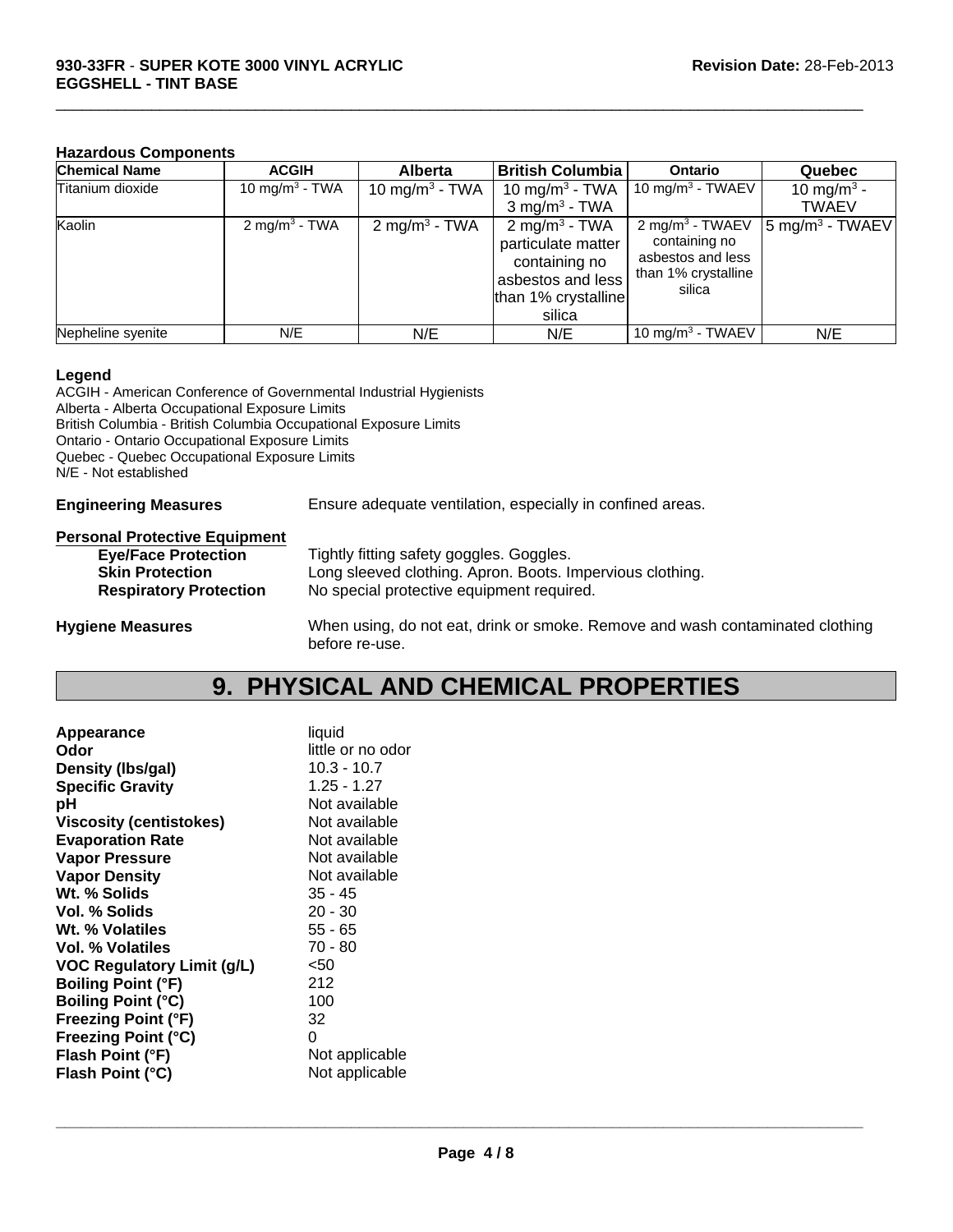#### **Hazardous Components**

| <b>Chemical Name</b> | <b>ACGIH</b>               | <b>Alberta</b>             | <b>British Columbia</b>                                                                                                | <b>Ontario</b>                                                                                       | Quebec                       |
|----------------------|----------------------------|----------------------------|------------------------------------------------------------------------------------------------------------------------|------------------------------------------------------------------------------------------------------|------------------------------|
| Titanium dioxide     | 10 mg/m <sup>3</sup> - TWA | 10 mg/m <sup>3</sup> - TWA | 10 mg/m <sup>3</sup> - TWA                                                                                             | 10 mg/m <sup>3</sup> - TWAEV                                                                         | 10 mg/m <sup>3</sup> -       |
|                      |                            |                            | $3 \text{ mg/m}^3$ - TWA                                                                                               |                                                                                                      | <b>TWAEV</b>                 |
| Kaolin               | 2 mg/m <sup>3</sup> - TWA  | 2 mg/m <sup>3</sup> - TWA  | 2 mg/m <sup>3</sup> - TWA<br>particulate matter<br>containing no<br>asbestos and less<br>than 1% crystalline<br>silica | $2$ mg/m <sup>3</sup> - TWAEV<br>containing no<br>asbestos and less<br>than 1% crystalline<br>silica | $ 5 \text{ mg/m}^3 - TWAEV $ |
| Nepheline syenite    | N/E                        | N/E                        | N/E                                                                                                                    | 10 mg/m <sup>3</sup> - TWAEV                                                                         | N/E                          |

 $\Box$ 

#### **Legend**

ACGIH - American Conference of Governmental Industrial Hygienists Alberta - Alberta Occupational Exposure Limits British Columbia - British Columbia Occupational Exposure Limits Ontario - Ontario Occupational Exposure Limits Quebec - Quebec Occupational Exposure Limits N/E - Not established

**Engineering Measures** Ensure adequate ventilation, especially in confined areas.

#### **Personal Protective Equipment**

| Tightly fitting safety goggles. Goggles.                  |
|-----------------------------------------------------------|
| Long sleeved clothing. Apron. Boots. Impervious clothing. |
| No special protective equipment required.                 |
|                                                           |

**Hygiene Measures** When using, do not eat, drink or smoke. Remove and wash contaminated clothing before re-use.

### **9. PHYSICAL AND CHEMICAL PROPERTIES**

| Appearance                        | liquid            |
|-----------------------------------|-------------------|
| Odor                              | little or no odor |
| Density (Ibs/gal)                 | $10.3 - 10.7$     |
| <b>Specific Gravity</b>           | $1.25 - 1.27$     |
| рH                                | Not available     |
| <b>Viscosity (centistokes)</b>    | Not available     |
| <b>Evaporation Rate</b>           | Not available     |
| <b>Vapor Pressure</b>             | Not available     |
| <b>Vapor Density</b>              | Not available     |
| Wt. % Solids                      | $35 - 45$         |
| Vol. % Solids                     | $20 - 30$         |
| Wt. % Volatiles                   | $55 - 65$         |
| Vol. % Volatiles                  | 70 - 80           |
| <b>VOC Regulatory Limit (g/L)</b> | $50$              |
| <b>Boiling Point (°F)</b>         | 212               |
| <b>Boiling Point (°C)</b>         | 100               |
| <b>Freezing Point (°F)</b>        | 32                |
| <b>Freezing Point (°C)</b>        | 0                 |
| Flash Point (°F)                  | Not applicable    |
| Flash Point (°C)                  | Not applicable    |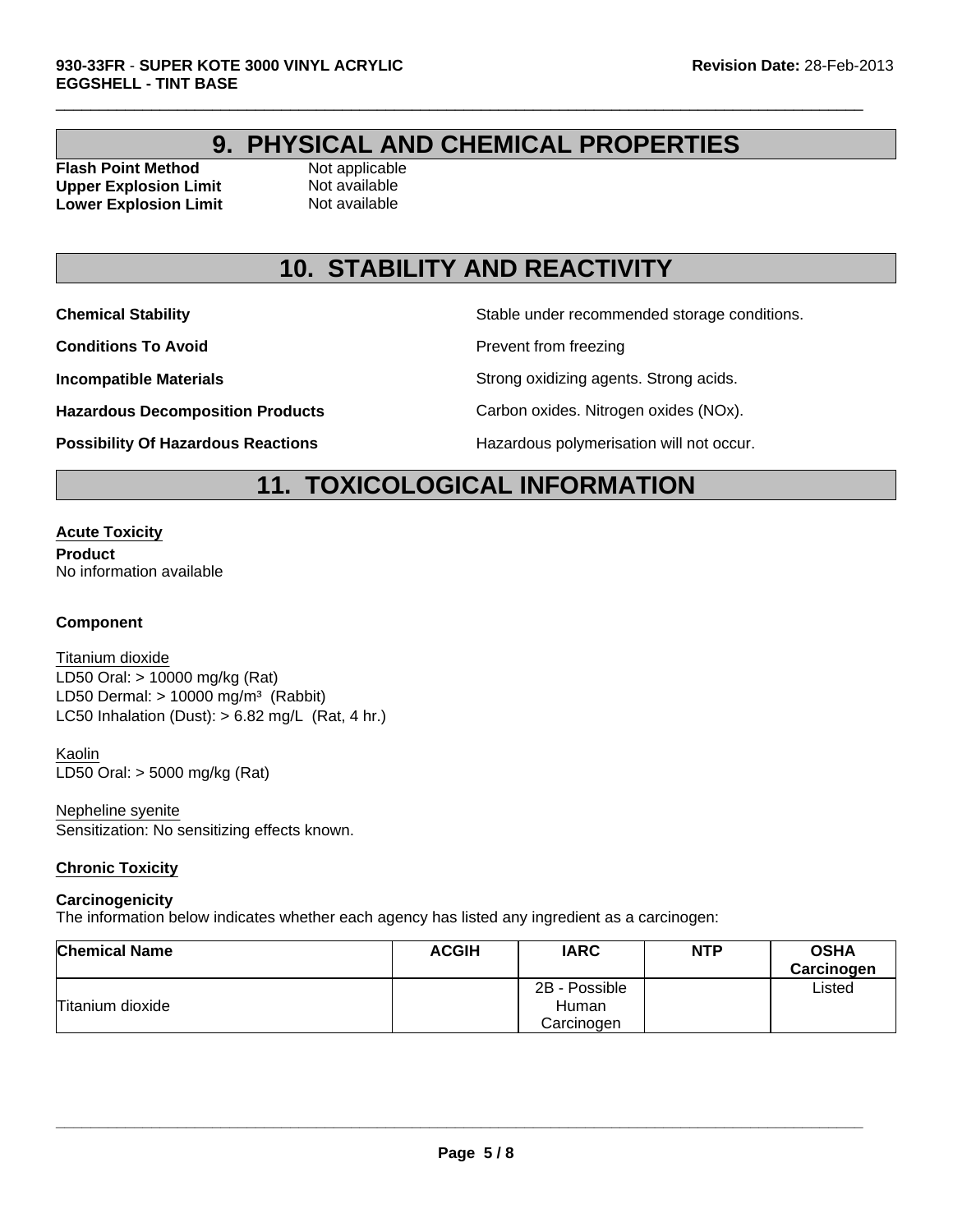### **9. PHYSICAL AND CHEMICAL PROPERTIES**

 $\Box$ 

**Flash Point Method Not applicable Upper Explosion Limit** Not available **Lower Explosion Limit** Not available

### **10. STABILITY AND REACTIVITY**

**Conditions To Avoid Prevent from freezing** 

**Chemical Stability Stable under recommended storage conditions.** 

**Incompatible Materials Incompatible Materials Strong agents** Strong acids.

**Hazardous Decomposition Products** Carbon oxides. Nitrogen oxides (NOx).

**Possibility Of Hazardous Reactions The Constant Hazardous polymerisation will not occur.** 

### **11. TOXICOLOGICAL INFORMATION**

#### **Acute Toxicity**

**Product** No information available

#### **Component**

LD50 Dermal:  $> 10000$  mg/m<sup>3</sup> (Rabbit) Titanium dioxide LC50 Inhalation (Dust):  $> 6.82$  mg/L (Rat, 4 hr.) LD50 Oral: > 10000 mg/kg (Rat)

LD50 Oral: > 5000 mg/kg (Rat) Kaolin

Nepheline syenite Sensitization: No sensitizing effects known.

#### **Chronic Toxicity**

#### **Carcinogenicity**

The information below indicates whether each agency has listed any ingredient as a carcinogen:

| <b>Chemical Name</b> | <b>ACGIH</b> | <b>IARC</b>            | <b>NTP</b> | <b>OSHA</b><br>Carcinogen |
|----------------------|--------------|------------------------|------------|---------------------------|
| Titanium dioxide     |              | 2B - Possible<br>Human |            | Listed                    |
|                      |              | Carcinogen             |            |                           |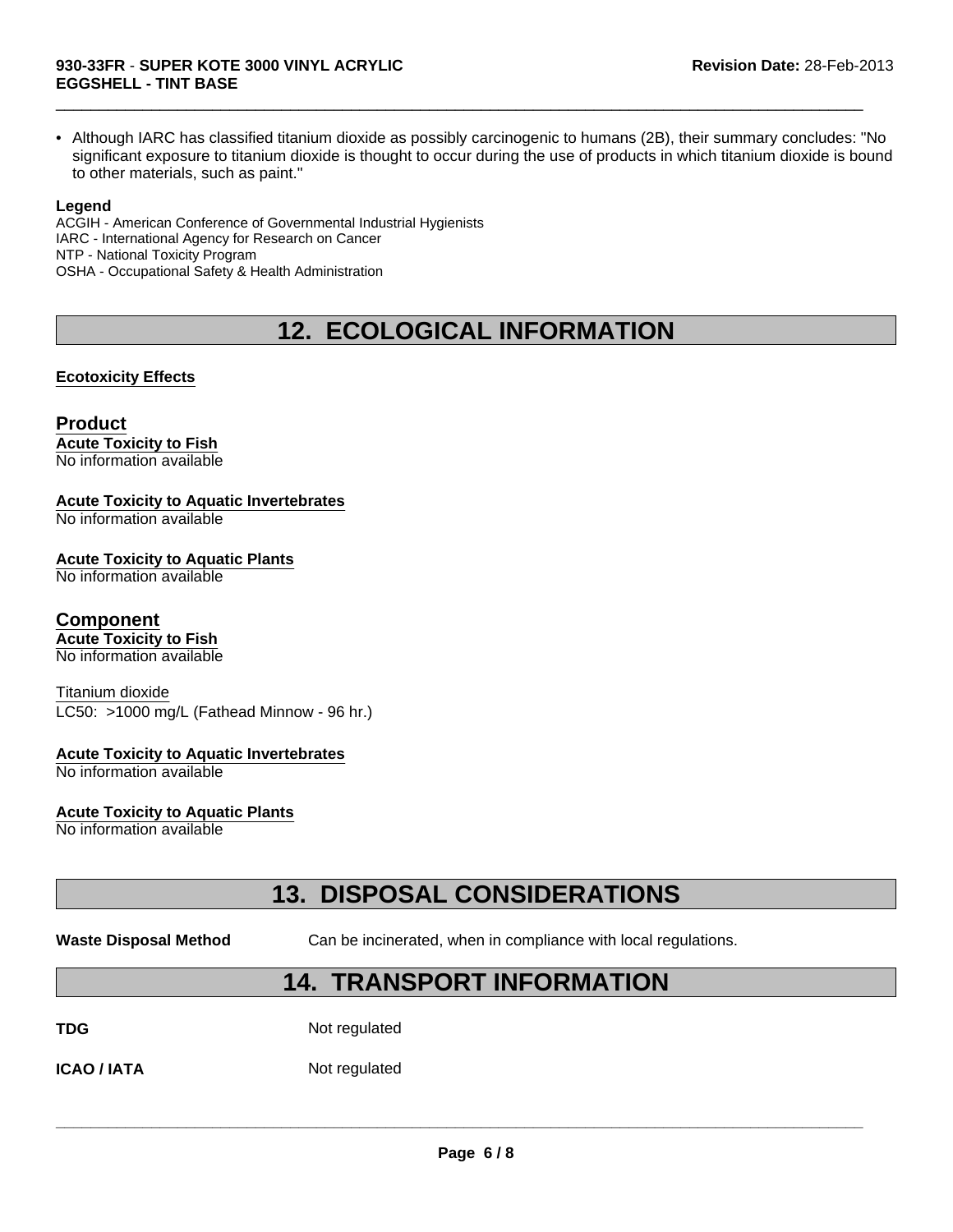• Although IARC has classified titanium dioxide as possibly carcinogenic to humans (2B), their summary concludes: "No significant exposure to titanium dioxide is thought to occur during the use of products in which titanium dioxide is bound to other materials, such as paint."

 $\Box$ 

#### **Legend**

ACGIH - American Conference of Governmental Industrial Hygienists IARC - International Agency for Research on Cancer NTP - National Toxicity Program OSHA - Occupational Safety & Health Administration

### **12. ECOLOGICAL INFORMATION**

#### **Ecotoxicity Effects**

#### **Product Acute Toxicity to Fish**

No information available

#### **Acute Toxicity to Aquatic Invertebrates**

No information available

#### **Acute Toxicity to Aquatic Plants**

No information available

#### **Component**

**Acute Toxicity to Fish** No information available

#### Titanium dioxide

LC50: >1000 mg/L (Fathead Minnow - 96 hr.)

#### **Acute Toxicity to Aquatic Invertebrates**

No information available

#### **Acute Toxicity to Aquatic Plants**

No information available

### **13. DISPOSAL CONSIDERATIONS**

**Waste Disposal Method** Can be incinerated, when in compliance with local regulations.

### **14. TRANSPORT INFORMATION**

**TDG** Not regulated

**ICAO / IATA** Not regulated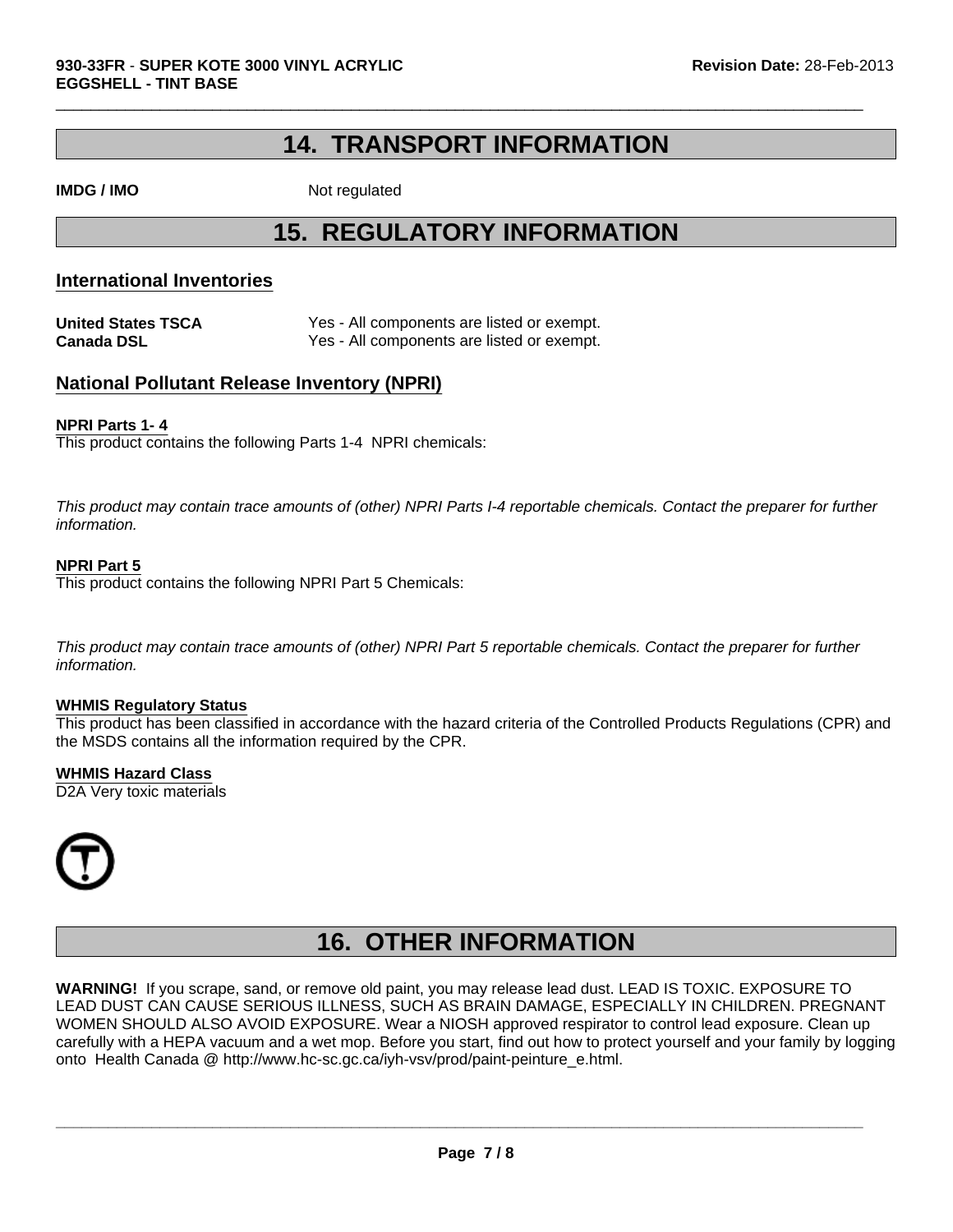### **14. TRANSPORT INFORMATION**

 $\Box$ 

**IMDG / IMO** Not regulated

### **15. REGULATORY INFORMATION**

### **International Inventories**

**United States TSCA** Yes - All components are listed or exempt. **Canada DSL** Yes - All components are listed or exempt.

### **National Pollutant Release Inventory (NPRI)**

#### **NPRI Parts 1- 4**

This product contains the following Parts 1-4 NPRI chemicals:

*This product may contain trace amounts of (other) NPRI Parts I-4 reportable chemicals. Contact the preparer for further information.*

#### **NPRI Part 5**

This product contains the following NPRI Part 5 Chemicals:

*This product may contain trace amounts of (other) NPRI Part 5 reportable chemicals. Contact the preparer for further information.*

#### **WHMIS Regulatory Status**

This product has been classified in accordance with the hazard criteria of the Controlled Products Regulations (CPR) and the MSDS contains all the information required by the CPR.

#### **WHMIS Hazard Class**

D2A Very toxic materials



### **16. OTHER INFORMATION**

**WARNING!** If you scrape, sand, or remove old paint, you may release lead dust. LEAD IS TOXIC. EXPOSURE TO LEAD DUST CAN CAUSE SERIOUS ILLNESS, SUCH AS BRAIN DAMAGE, ESPECIALLY IN CHILDREN. PREGNANT WOMEN SHOULD ALSO AVOID EXPOSURE. Wear a NIOSH approved respirator to control lead exposure. Clean up carefully with a HEPA vacuum and a wet mop. Before you start, find out how to protect yourself and your family by logging onto Health Canada @ http://www.hc-sc.gc.ca/iyh-vsv/prod/paint-peinture\_e.html.